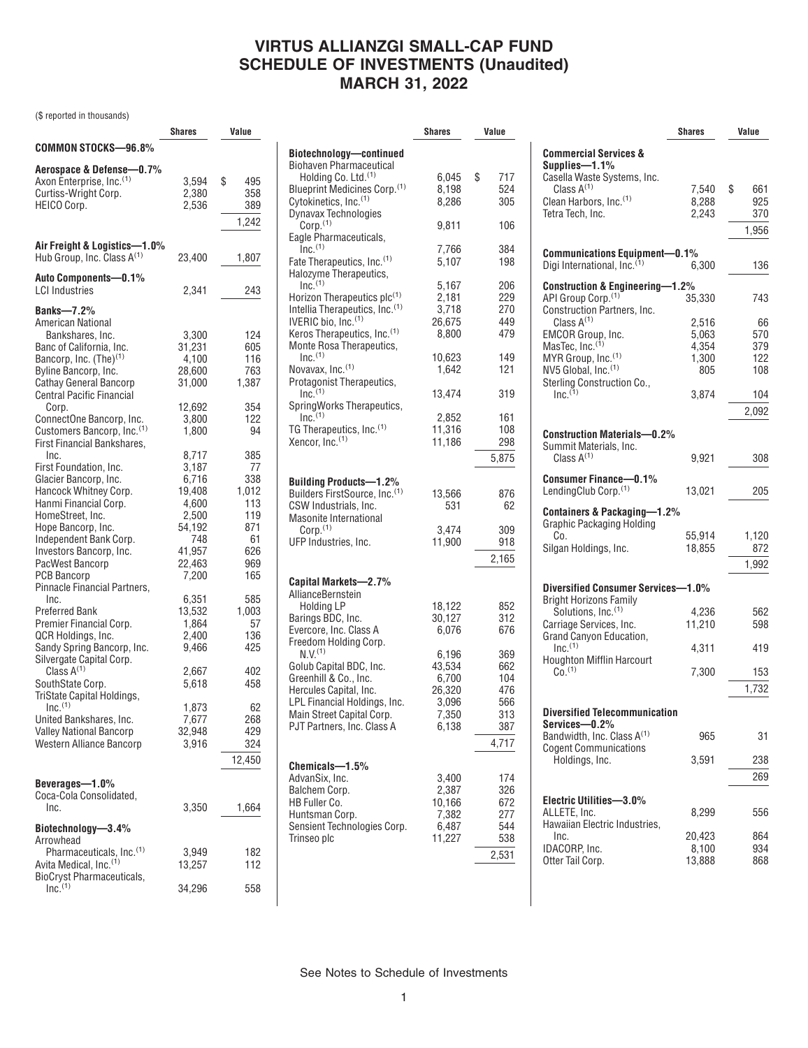## **VIRTUS ALLIANZGI SMALL-CAP FUND SCHEDULE OF INVESTMENTS (Unaudited) MARCH 31, 2022**

(\$ reported in thousands)

|                                        | <b>Shares</b> | Value     |
|----------------------------------------|---------------|-----------|
| COMMON STOCKS-96.8%                    |               |           |
| Aerospace & Defense—0.7%               |               |           |
| Axon Enterprise, Inc. <sup>(1)</sup>   | 3,594         | \$<br>495 |
| Curtiss-Wright Corp.                   | 2,380         | 358       |
| HEICO Corp.                            | 2,536         | 389       |
|                                        |               | 1,242     |
| Air Freight & Logistics-1.0%           |               |           |
| Hub Group, Inc. Class $A^{(1)}$        | 23,400        | 1,807     |
| Auto Components—0.1%                   |               |           |
| <b>LCI Industries</b>                  | 2,341         | 243       |
| <b>Banks-7.2%</b>                      |               |           |
| American National                      |               |           |
| Bankshares, Inc.                       | 3,300         | 124       |
| Banc of California, Inc.               | 31,231        | 605       |
| Bancorp, Inc. $(The)^{(1)}$            | 4,100         | 116       |
| Byline Bancorp, Inc.                   | 28,600        | 763       |
| <b>Cathay General Bancorp</b>          | 31,000        | 1,387     |
| <b>Central Pacific Financial</b>       |               |           |
| Corp.                                  | 12,692        | 354       |
| ConnectOne Bancorp, Inc.               | 3,800         | 122       |
| Customers Bancorp, Inc. <sup>(1)</sup> | 1,800         | 94        |
| <b>First Financial Bankshares.</b>     |               |           |
| Inc.                                   | 8,717         | 385       |
| First Foundation, Inc.                 | 3,187         | 77        |
| Glacier Bancorp, Inc.                  | 6,716         | 338       |
| Hancock Whitney Corp.                  | 19,408        | 1,012     |
| Hanmi Financial Corp.                  | 4,600         | 113       |
| HomeStreet, Inc.                       | 2,500         | 119       |
| Hope Bancorp, Inc.                     | 54,192        | 871       |
| Independent Bank Corp.                 | 748           | 61        |
| Investors Bancorp, Inc.                | 41,957        | 626       |
| PacWest Bancorp                        | 22,463        | 969       |
| <b>PCB Bancorp</b>                     | 7,200         | 165       |
| Pinnacle Financial Partners,           |               |           |
| Inc.                                   | 6,351         | 585       |
| Preferred Bank                         | 13,532        | 1,003     |
| Premier Financial Corp.                | 1,864         | 57        |
| QCR Holdings, Inc.                     | 2,400         | 136       |
| Sandy Spring Bancorp, Inc.             | 9,466         | 425       |
| Silvergate Capital Corp.               |               |           |
| Class $A^{(1)}$                        | 2,667         | 402       |
| SouthState Corp.                       | 5,618         | 458       |
| TriState Capital Holdings,             |               |           |
| $Inc.$ <sup>(1)</sup>                  | 1,873         | 62        |
| United Bankshares, Inc.                | 7,677         | 268       |
| <b>Valley National Bancorp</b>         | 32,948        | 429       |
| <b>Western Alliance Bancorp</b>        | 3,916         | 324       |
|                                        |               |           |
|                                        |               | 12,450    |
| Beverages-1.0%                         |               |           |
| Coca-Cola Consolidated,                |               |           |
| Inc.                                   | 3,350         | 1,664     |
|                                        |               |           |
| Biotechnology—3.4%                     |               |           |
| Arrowhead                              |               |           |
| Pharmaceuticals, Inc. <sup>(1)</sup>   | 3,949         | 182       |
| Avita Medical, Inc. <sup>(1)</sup>     | 13,257        | 112       |
| <b>BioCryst Pharmaceuticals,</b>       |               |           |
| Inc. <sup>(1)</sup>                    | 34,296        | 558       |

|                                                                                                                                                                                                              | Shares                                                        | Value                                                  |
|--------------------------------------------------------------------------------------------------------------------------------------------------------------------------------------------------------------|---------------------------------------------------------------|--------------------------------------------------------|
| Biotechnology—continued<br>Biohaven Pharmaceutical<br>Holding Co. Ltd. <sup>(1)</sup><br>Blueprint Medicines Corp.(1)<br>Cytokinetics, Inc. <sup>(1)</sup>                                                   | 6,045<br>8,198<br>8,286                                       | \$<br>717<br>524<br>305                                |
| <b>Dynavax Technologies</b><br>$Corp.$ $(1)$                                                                                                                                                                 | 9,811                                                         | 106                                                    |
| Eagle Pharmaceuticals,<br>$Inc^{(1)}$<br>Fate Therapeutics, Inc. <sup>(1)</sup><br>Halozyme Therapeutics,                                                                                                    | 7,766<br>5.107                                                | 384<br>198                                             |
| $Inc.$ <sup>(1)</sup><br>Horizon Therapeutics plc(1)<br>Intellia Therapeutics, Inc. <sup>(1)</sup><br>IVERIC bio, Inc. <sup>(1)</sup><br>Keros Therapeutics, Inc. <sup>(1)</sup><br>Monte Rosa Therapeutics, | 5,167<br>2,181<br>3,718<br>26,675<br>8,800                    | 206<br>229<br>270<br>449<br>479                        |
| $Inc.$ <sup>(1)</sup><br>Novavax, Inc. <sup>(1)</sup><br>Protagonist Therapeutics,                                                                                                                           | 10,623<br>1,642                                               | 149<br>121                                             |
| Inc. <sup>(1)</sup><br>SpringWorks Therapeutics,                                                                                                                                                             | 13,474                                                        | 319                                                    |
| $Inc^{(1)}$<br>TG Therapeutics, Inc. <sup>(1)</sup><br>Xencor, Inc. <sup>(1)</sup>                                                                                                                           | 2,852<br>11,316<br>11,186                                     | 161<br>108<br>298<br>5,875                             |
| <b>Building Products-1.2%</b><br>Builders FirstSource, Inc.(1)<br>CSW Industrials, Inc.<br>Masonite International<br>Corp. <sup>(1)</sup>                                                                    | 13,566<br>531<br>3,474                                        | 876<br>62<br>309                                       |
| UFP Industries, Inc.                                                                                                                                                                                         | 11,900                                                        | 918<br>2,165                                           |
| Capital Markets-2.7%<br>AllianceBernstein<br><b>Holding LP</b>                                                                                                                                               | 18,122                                                        | 852                                                    |
| Barings BDC, Inc.<br>Evercore, Inc. Class A<br>Freedom Holding Corp.                                                                                                                                         | 30,127<br>6,076                                               | 312<br>676                                             |
| $N.V.$ <sup>(1)</sup><br>Golub Capital BDC, Inc.<br>Greenhill & Co., Inc.<br>Hercules Capital, Inc.<br>LPL Financial Holdings, Inc.<br>Main Street Capital Corp.<br>PJT Partners, Inc. Class A               | 6,196<br>43,534<br>6,700<br>26,320<br>3.096<br>7,350<br>6,138 | 369<br>662<br>104<br>476<br>566<br>313<br>387<br>4,717 |
| Chemicals-1.5%<br>AdvanSix, Inc.<br>Balchem Corp.<br>HB Fuller Co.<br>Huntsman Corp.<br>Sensient Technologies Corp.<br>Trinseo plc                                                                           | 3,400<br>2,387<br>10,166<br>7,382<br>6,487<br>11,227          | 174<br>326<br>672<br>277<br>544<br>538<br>2,531        |

|                                                                      | <b>Shares</b> | Value     |
|----------------------------------------------------------------------|---------------|-----------|
| <b>Commercial Services &amp;</b><br>Supplies-1.1%                    |               |           |
| Casella Waste Systems, Inc.                                          |               |           |
| Class $A^{(1)}$                                                      | 7,540         | \$<br>661 |
| Clean Harbors, Inc. <sup>(1)</sup>                                   | 8,288         | 925       |
| Tetra Tech. Inc.                                                     | 2,243         | 370       |
|                                                                      |               | 1,956     |
|                                                                      |               |           |
| <b>Communications Equipment-0.1%</b><br>Digi International, Inc. (1) | 6,300         | 136       |
|                                                                      |               |           |
| <b>Construction &amp; Engineering-1.2%</b>                           |               |           |
| API Group Corp. <sup>(1)</sup>                                       | 35,330        | 743       |
| <b>Construction Partners, Inc.</b>                                   |               |           |
| Class $A^{(1)}$                                                      | 2,516         | 66        |
| EMCOR Group, Inc.                                                    | 5,063         | 570       |
| MasTec, Inc. <sup>(1)</sup>                                          | 4,354         | 379       |
| MYR Group, Inc. <sup>(1)</sup>                                       | 1,300         | 122       |
| NV5 Global, Inc. <sup>(1)</sup>                                      | 805           | 108       |
| Sterling Construction Co.,                                           |               |           |
| $Inc^{(1)}$                                                          | 3,874         | 104       |
|                                                                      |               |           |
|                                                                      |               | 2,092     |
| <b>Construction Materials-0.2%</b><br>Summit Materials, Inc.         |               |           |
| Class $A^{(1)}$                                                      | 9.921         | 308       |
| Consumer Finance-0.1%<br>LendingClub Corp. <sup>(1)</sup>            | 13,021        | 205       |
| Containers & Packaging-1.2%                                          |               |           |
| <b>Graphic Packaging Holding</b>                                     |               |           |
| Co.                                                                  | 55,914        | 1,120     |
| Silgan Holdings, Inc.                                                | 18,855        | 872       |
|                                                                      |               |           |
|                                                                      |               | 1,992     |
| Diversified Consumer Services-1.0%<br><b>Bright Horizons Family</b>  |               |           |
| Solutions, Inc. <sup>(1)</sup>                                       | 4,236         | 562       |
| Carriage Services, Inc.                                              | 11,210        | 598       |
| Grand Canyon Education,                                              |               |           |
| $Inc.$ <sup>(1)</sup>                                                | 4,311         | 419       |
| <b>Houghton Mifflin Harcourt</b>                                     |               |           |
| $C_0$ . $(1)$                                                        | 7,300         | 153       |
|                                                                      |               | 1,732     |
| <b>Diversified Telecommunication</b>                                 |               |           |
| Services-0.2%                                                        |               |           |
| Bandwidth, Inc. Class A <sup>(1)</sup>                               | 965           | 31        |
| <b>Cogent Communications</b>                                         |               |           |
| Holdings, Inc.                                                       | 3,591         | 238       |
|                                                                      |               | 269       |
|                                                                      |               |           |
| Electric Utilities-3.0%                                              |               |           |
| ALLETE, Inc.                                                         | 8,299         | 556       |
| Hawaiian Electric Industries,                                        |               |           |
| Inc.                                                                 | 20,423        | 864       |
| IDACORP, Inc.                                                        | 8,100         | 934       |
| Otter Tail Corp.                                                     | 13,888        | 868       |

See Notes to Schedule of Investments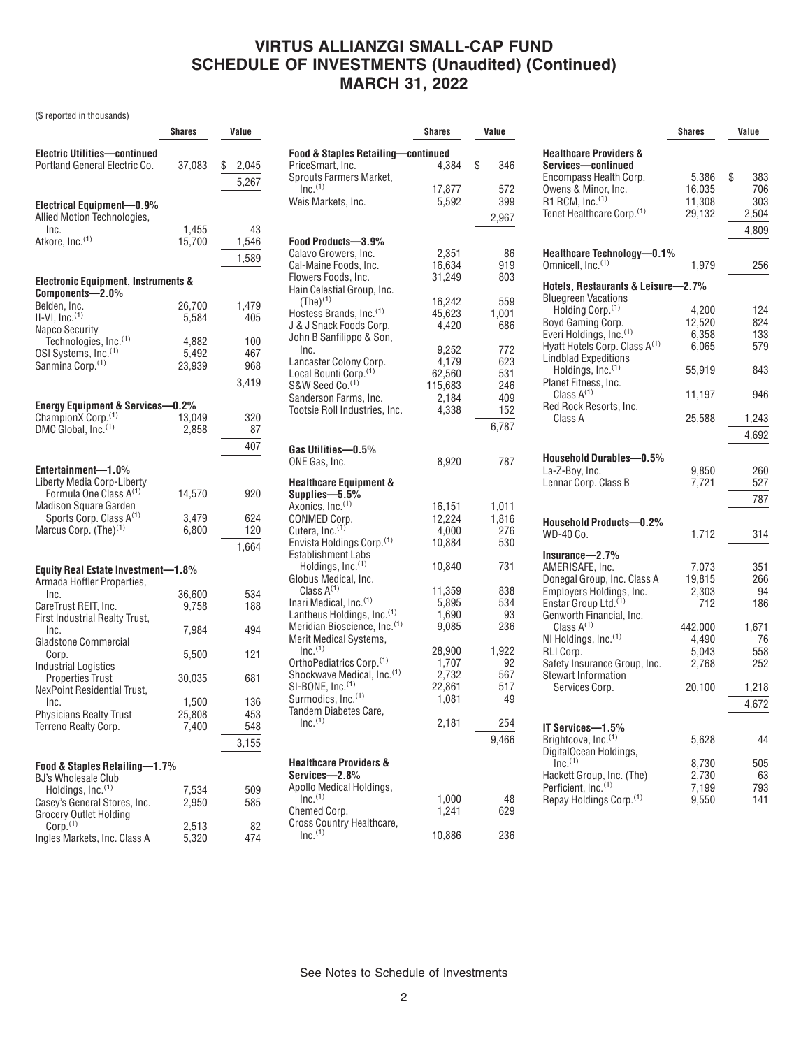# **VIRTUS ALLIANZGI SMALL-CAP FUND SCHEDULE OF INVESTMENTS (Unaudited) (Continued) MARCH 31, 2022**

(\$ reported in thousands)

|                                                                                                                                           | Shares                   | Value                      |
|-------------------------------------------------------------------------------------------------------------------------------------------|--------------------------|----------------------------|
| <b>Electric Utilities-continued</b><br>Portland General Electric Co.                                                                      | 37,083                   | \$<br>2,045<br>5,267       |
| Electrical Equipment-0.9%<br>Allied Motion Technologies,<br>Inc.<br>Atkore, Inc. <sup>(1)</sup>                                           | 1,455<br>15,700          | 43<br>1,546<br>1,589       |
| <b>Electronic Equipment, Instruments &amp;</b>                                                                                            |                          |                            |
| Components-2.0%<br>Belden, Inc.<br>$II-VI$ , Inc. $(1)$<br>Napco Security                                                                 | 26,700<br>5,584          | 1,479<br>405               |
| Technologies, Inc.(1)<br>OSI Systems, Inc.(1)<br>Sanmina Corp. <sup>(1)</sup>                                                             | 4,882<br>5,492<br>23,939 | 100<br>467<br>968          |
|                                                                                                                                           |                          | 3,419                      |
| <b>Energy Equipment &amp; Services-0.2%</b><br>ChampionX Corp. <sup>(1)</sup><br>DMC Global, Inc. <sup>(1)</sup>                          | 13,049<br>2,858          | 320<br>87                  |
|                                                                                                                                           |                          | 407                        |
| Entertainment-1.0%<br>Liberty Media Corp-Liberty<br>Formula One Class A <sup>(1)</sup><br><b>Madison Square Garden</b>                    | 14,570                   | 920                        |
| Sports Corp. Class A(1)<br>Marcus Corp. (The) <sup>(1)</sup>                                                                              | 3,479<br>6,800           | 624<br>120<br>1,664        |
|                                                                                                                                           |                          |                            |
| <b>Equity Real Estate Investment-1.8%</b><br>Armada Hoffler Properties,<br>Inc.<br>CareTrust REIT, Inc.<br>First Industrial Realty Trust, | 36,600<br>9,758          | 534<br>188                 |
| Inc.<br>Gladstone Commercial                                                                                                              | 7,984                    | 494                        |
| Corp.<br><b>Industrial Logistics</b>                                                                                                      | 5,500                    | 121                        |
| <b>Properties Trust</b>                                                                                                                   | 30,035                   | 681                        |
| NexPoint Residential Trust,<br>Inc.<br><b>Physicians Realty Trust</b><br>Terreno Realty Corp.                                             | 1,500<br>25,808<br>7,400 | 136<br>453<br>548<br>3,155 |
| Food & Staples Retailing-1.7%                                                                                                             |                          |                            |
| <b>BJ's Wholesale Club</b><br>Holdings, Inc. <sup>(1)</sup><br>Casey's General Stores, Inc.                                               | 7,534<br>2,950           | 509<br>585                 |
| Grocery Outlet Holding<br>Corp. <sup>(1)</sup><br>Ingles Markets, Inc. Class A                                                            | 2,513<br>5,320           | 82<br>474                  |

|                                                                              | Shares           | Value          |
|------------------------------------------------------------------------------|------------------|----------------|
| <b>Food &amp; Staples Retailing-continued</b>                                |                  |                |
| PriceSmart, Inc.<br>Sprouts Farmers Market,                                  | 4.384            | \$<br>346      |
| Inc. <sup>(1)</sup><br>Weis Markets, Inc.                                    | 17,877<br>5,592  | 572<br>399     |
|                                                                              |                  |                |
|                                                                              |                  | 2,967          |
| Food Products-3.9%                                                           |                  |                |
| Calavo Growers, Inc.                                                         | 2,351            | 86             |
| Cal-Maine Foods, Inc.                                                        | 16,634           | 919            |
| Flowers Foods, Inc.                                                          | 31,249           | 803            |
| Hain Celestial Group, Inc.                                                   |                  |                |
| $(The)^{(1)}$<br>Hostess Brands, Inc. <sup>(1)</sup>                         | 16,242<br>45,623 | 559<br>1,001   |
| J & J Snack Foods Corp.                                                      | 4,420            | 686            |
| John B Sanfilippo & Son,                                                     |                  |                |
| Inc.                                                                         | 9,252            | 772            |
| Lancaster Colony Corp.                                                       | 4,179            | 623            |
| Local Bounti Corp. <sup>(1)</sup>                                            | 62,560           | 531            |
| S&W Seed Co. <sup>(1)</sup>                                                  | 115,683          | 246            |
| Sanderson Farms, Inc.                                                        | 2,184            | 409            |
| Tootsie Roll Industries, Inc.                                                | 4,338            | 152            |
|                                                                              |                  | 6,787          |
| Gas Utilities-0.5%                                                           |                  |                |
| ONE Gas, Inc.                                                                | 8,920            | 787            |
|                                                                              |                  |                |
| <b>Healthcare Equipment &amp;</b>                                            |                  |                |
| Supplies-5.5%                                                                |                  |                |
| Axonics, Inc. <sup>(1)</sup><br>CONMED Corp.                                 | 16,151<br>12,224 | 1,011<br>1,816 |
| Cutera, Inc. <sup>(1)</sup>                                                  | 4,000            | 276            |
| Envista Holdings Corp. <sup>(1)</sup>                                        | 10,884           | 530            |
| Establishment Labs                                                           |                  |                |
| Holdings, Inc. <sup>(1)</sup>                                                | 10,840           | 731            |
| Globus Medical, Inc.                                                         |                  |                |
| Class $A^{(1)}$                                                              | 11,359           | 838            |
| Inari Medical, Inc. <sup>(1)</sup><br>Lantheus Holdings, Inc. <sup>(1)</sup> | 5,895<br>1,690   | 534<br>93      |
| Meridian Bioscience, Inc. <sup>(1)</sup>                                     | 9,085            | 236            |
| Merit Medical Systems,                                                       |                  |                |
| Inc. <sup>(1)</sup>                                                          | 28,900           | 1,922          |
| OrthoPediatrics Corp. <sup>(1)</sup>                                         | 1.707            | 92             |
| Shockwave Medical, Inc.(1)                                                   | 2,732            | 567            |
| SI-BONE, Inc. <sup>(1)</sup>                                                 | 22,861           | 517            |
| Surmodics, Inc. <sup>(1)</sup><br>Tandem Diabetes Care.                      | 1,081            | 49             |
| Inc. <sup>(1)</sup>                                                          | 2,181            | 254            |
|                                                                              |                  |                |
|                                                                              |                  | 9,466          |
| <b>Healthcare Providers &amp;</b>                                            |                  |                |
| Services—2.8%                                                                |                  |                |
| Apollo Medical Holdings,                                                     |                  |                |
| Inc <sup>(1)</sup>                                                           | 1,000            | 48             |
| Chemed Corp.                                                                 | 1,241            | 629            |
| Cross Country Healthcare,<br>Inc <sup>(1)</sup>                              | 10,886           | 236            |
|                                                                              |                  |                |

|                                                                                                                                                                                                                                     | <b>Shares</b>                                       | Value                                  |
|-------------------------------------------------------------------------------------------------------------------------------------------------------------------------------------------------------------------------------------|-----------------------------------------------------|----------------------------------------|
| <b>Healthcare Providers &amp;</b><br>Services-continued<br>Encompass Health Corp.<br>Owens & Minor, Inc.<br>R1 RCM, $Inc.(1)$<br>Tenet Healthcare Corp. <sup>(1)</sup>                                                              | 5,386<br>16,035<br>11,308<br>29,132                 | \$<br>383<br>706<br>303<br>2,504       |
| Healthcare Technology-0.1%<br>Omnicell, Inc. <sup>(1)</sup>                                                                                                                                                                         | 1,979                                               | 4,809<br>256                           |
| Hotels, Restaurants & Leisure-2.7%                                                                                                                                                                                                  |                                                     |                                        |
| <b>Bluegreen Vacations</b><br>Holding Corp. <sup>(1)</sup><br>Boyd Gaming Corp.<br>Everi Holdings, Inc. <sup>(1)</sup><br>Hyatt Hotels Corp. Class A <sup>(1)</sup><br><b>Lindblad Expeditions</b><br>Holdings, Inc. <sup>(1)</sup> | 4,200<br>12,520<br>6,358<br>6,065<br>55,919         | 124<br>824<br>133<br>579<br>843        |
| Planet Fitness, Inc.<br>Class $A^{(1)}$                                                                                                                                                                                             | 11,197                                              | 946                                    |
| Red Rock Resorts, Inc.<br>Class A                                                                                                                                                                                                   | 25,588                                              | 1,243<br>4,692                         |
| Household Durables-0.5%<br>La-Z-Boy, Inc.<br>Lennar Corp. Class B                                                                                                                                                                   | 9,850<br>7,721                                      | 260<br>527<br>787                      |
| <b>Household Products-0.2%</b><br>WD-40 Co.                                                                                                                                                                                         | 1,712                                               | 314                                    |
| Insurance-2.7%<br>AMERISAFE, Inc.<br>Donegal Group, Inc. Class A<br>Employers Holdings, Inc.<br>Enstar Group Ltd. <sup>(1)</sup><br>Genworth Financial, Inc.<br>Class $A^{(1)}$<br>NI Holdings, Inc. <sup>(1)</sup>                 | 7,073<br>19,815<br>2,303<br>712<br>442,000<br>4.490 | 351<br>266<br>94<br>186<br>1,671<br>76 |
| RLI Corp.<br>Safety Insurance Group, Inc.<br><b>Stewart Information</b>                                                                                                                                                             | 5,043<br>2,768                                      | 558<br>252                             |
| Services Corp.                                                                                                                                                                                                                      | 20,100                                              | 1,218<br>4,672                         |
| IT Services-1.5%<br>Brightcove, Inc. <sup>(1)</sup>                                                                                                                                                                                 | 5,628                                               | 44                                     |
| DigitalOcean Holdings,<br>$Inc.$ <sup>(1)</sup><br>Hackett Group, Inc. (The)<br>Perficient, Inc. <sup>(1)</sup><br>Repay Holdings Corp. <sup>(1)</sup>                                                                              | 8,730<br>2,730<br>7,199<br>9,550                    | 505<br>63<br>793<br>141                |

See Notes to Schedule of Investments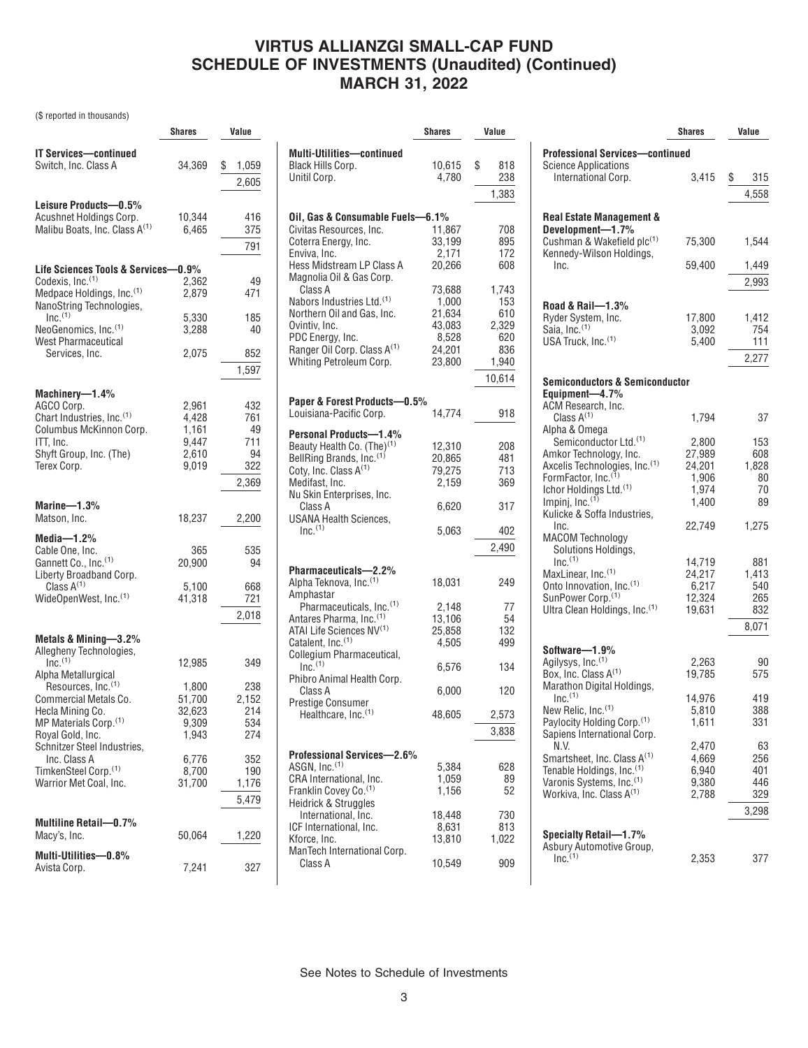# **VIRTUS ALLIANZGI SMALL-CAP FUND SCHEDULE OF INVESTMENTS (Unaudited) (Continued) MARCH 31, 2022**

(\$ reported in thousands)

|                                                                      | <b>Shares</b>    | Value        |
|----------------------------------------------------------------------|------------------|--------------|
|                                                                      |                  |              |
| <b>IT Services-continued</b>                                         |                  |              |
| Switch, Inc. Class A                                                 | 34,369           | \$<br>1,059  |
|                                                                      |                  | 2,605        |
|                                                                      |                  |              |
| Leisure Products-0.5%                                                |                  |              |
| Acushnet Holdings Corp.<br>Malibu Boats, Inc. Class A <sup>(1)</sup> | 10,344<br>6,465  | 416<br>375   |
|                                                                      |                  |              |
|                                                                      |                  | 791          |
| Life Sciences Tools & Services-0.9%                                  |                  |              |
| Codexis, Inc. <sup>(1)</sup>                                         | 2.362            | 49           |
| Medpace Holdings, Inc. <sup>(1)</sup>                                | 2.879            | 471          |
| NanoString Technologies,                                             |                  |              |
| Inc. <sup>(1)</sup>                                                  | 5.330            | 185          |
| NeoGenomics, Inc. <sup>(1)</sup>                                     | 3,288            | 40           |
| <b>West Pharmaceutical</b>                                           |                  |              |
| Services, Inc.                                                       | 2,075            | 852          |
|                                                                      |                  | 1,597        |
|                                                                      |                  |              |
| Machinery-1.4%                                                       |                  |              |
| AGCO Corp.                                                           | 2,961            | 432          |
| Chart Industries, Inc. <sup>(1)</sup>                                | 4,428            | 761          |
| Columbus McKinnon Corp.<br>ITT, Inc.                                 | 1,161<br>9,447   | 49<br>711    |
| Shyft Group, Inc. (The)                                              | 2,610            | 94           |
| Terex Corp.                                                          | 9,019            | 322          |
|                                                                      |                  |              |
|                                                                      |                  | 2,369        |
| Marine—1.3%                                                          |                  |              |
| Matson, Inc.                                                         | 18,237           | 2,200        |
|                                                                      |                  |              |
| Media- $1.2%$<br>Cable One, Inc.                                     |                  |              |
| Gannett Co., Inc. <sup>(1)</sup>                                     | 365<br>20,900    | 535<br>94    |
| Liberty Broadband Corp.                                              |                  |              |
| Class $A^{(1)}$                                                      | 5,100            | 668          |
| WideOpenWest, Inc. <sup>(1)</sup>                                    | 41,318           | 721          |
|                                                                      |                  | 2,018        |
|                                                                      |                  |              |
| Metals & Mining-3.2%                                                 |                  |              |
| Allegheny Technologies,                                              |                  |              |
| Inc. <sup>(1)</sup>                                                  | 12,985           | 349          |
| Alpha Metallurgical                                                  |                  |              |
| Resources, Inc. <sup>(1)</sup><br>Commercial Metals Co.              | 1,800            | 238<br>2,152 |
| Hecla Mining Co.                                                     | 51,700<br>32,623 | 214          |
| MP Materials Corp. <sup>(1)</sup>                                    | 9,309            | 534          |
| Royal Gold, Inc.                                                     | 1,943            | 274          |
| Schnitzer Steel Industries,                                          |                  |              |
| Inc. Class A                                                         | 6,776            | 352          |
| TimkenSteel Corp. <sup>(1)</sup>                                     | 8,700            | 190          |
| Warrior Met Coal, Inc.                                               | 31,700           | 1,176        |
|                                                                      |                  | 5,479        |
|                                                                      |                  |              |
| Multiline Retail-0.7%                                                |                  |              |
| Macy's, Inc.                                                         | 50,064           | 1,220        |
| Multi-Utilities-0.8%                                                 |                  |              |
| Avista Corp.                                                         | 7,241            | 327          |

|                                                                              | Shares          |   | Value      |
|------------------------------------------------------------------------------|-----------------|---|------------|
|                                                                              |                 |   |            |
| <b>Multi-Utilities-continued</b><br><b>Black Hills Corp.</b><br>Unitil Corp. | 10,615<br>4,780 | S | 818<br>238 |
|                                                                              |                 |   | 1,383      |
|                                                                              |                 |   |            |
| Oil, Gas & Consumable Fuels-6.1%                                             |                 |   |            |
| Civitas Resources, Inc.                                                      | 11,867          |   | 708        |
| Coterra Energy, Inc.                                                         | 33,199          |   | 895        |
| Enviva, Inc.                                                                 | 2,171           |   | 172        |
| Hess Midstream LP Class A<br>Magnolia Oil & Gas Corp.                        | 20,266          |   | 608        |
| Class A                                                                      | 73,688          |   | 1,743      |
| Nabors Industries Ltd. <sup>(1)</sup>                                        | 1,000           |   | 153        |
| Northern Oil and Gas. Inc.                                                   | 21,634          |   | 610        |
| Ovintiv, Inc.                                                                | 43,083          |   | 2,329      |
| PDC Energy, Inc.                                                             | 8,528           |   | 620        |
| Ranger Oil Corp. Class A <sup>(1)</sup>                                      | 24,201          |   | 836        |
| Whiting Petroleum Corp.                                                      | 23,800          |   | 1,940      |
|                                                                              |                 |   | 10,614     |
| Paper & Forest Products-0.5%                                                 |                 |   |            |
| Louisiana-Pacific Corp.                                                      | 14,774          |   | 918        |
|                                                                              |                 |   |            |
| <b>Personal Products-1.4%</b>                                                |                 |   |            |
| Beauty Health Co. (The) <sup>(1)</sup>                                       | 12.310          |   | 208        |
| BellRing Brands, Inc. <sup>(1)</sup>                                         | 20,865          |   | 481        |
| Coty, Inc. Class A <sup>(1)</sup>                                            | 79,275          |   | 713        |
| Medifast, Inc.                                                               | 2.159           |   | 369        |
| Nu Skin Enterprises, Inc.                                                    |                 |   |            |
| Class A                                                                      | 6,620           |   | 317        |
| USANA Health Sciences,<br>$Inc.$ <sup>(1)</sup>                              |                 |   |            |
|                                                                              | 5,063           |   | 402        |
|                                                                              |                 |   | 2,490      |
|                                                                              |                 |   |            |
| Pharmaceuticals-2.2%                                                         |                 |   |            |
| Alpha Teknova, Inc. <sup>(1)</sup>                                           | 18,031          |   | 249        |
| Amphastar                                                                    |                 |   |            |
| Pharmaceuticals, Inc. <sup>(1)</sup><br>Antares Pharma, Inc. <sup>(1)</sup>  | 2,148           |   | 77         |
| ATAI Life Sciences NV(1)                                                     | 13,106          |   | 54         |
| Catalent, Inc. <sup>(1)</sup>                                                | 25,858          |   | 132<br>499 |
| Collegium Pharmaceutical,                                                    | 4,505           |   |            |
| $Inc^{(1)}$                                                                  | 6,576           |   | 134        |
| Phibro Animal Health Corp.                                                   |                 |   |            |
| Class A                                                                      | 6,000           |   | 120        |
| Prestige Consumer                                                            |                 |   |            |
| Healthcare, Inc. <sup>(1)</sup>                                              | 48,605          |   | 2,573      |
|                                                                              |                 |   |            |
|                                                                              |                 |   | 3,838      |
| <b>Professional Services-2.6%</b>                                            |                 |   |            |
| ASGN, Inc. <sup>(1)</sup>                                                    | 5,384           |   | 628        |
| CRA International, Inc.                                                      | 1,059           |   | 89         |
| Franklin Covey Co. <sup>(1)</sup>                                            | 1.156           |   | 52         |
| Heidrick & Struggles                                                         |                 |   |            |
| International, Inc.                                                          | 18,448          |   | 730        |
| ICF International, Inc.                                                      | 8,631           |   | 813        |
| Kforce, Inc.                                                                 | 13,810          |   | 1,022      |
| ManTech International Corp.                                                  |                 |   |            |
| Class A                                                                      | 10,549          |   | 909        |
|                                                                              |                 |   |            |
|                                                                              |                 |   |            |

|                                                                               | <b>Shares</b>    | Value        |
|-------------------------------------------------------------------------------|------------------|--------------|
| <b>Professional Services-continued</b><br><b>Science Applications</b>         |                  |              |
| International Corp.                                                           | 3,415            | \$<br>315    |
|                                                                               |                  | 4,558        |
| <b>Real Estate Management &amp;</b>                                           |                  |              |
| Development-1.7%                                                              |                  |              |
| Cushman & Wakefield plc(1)<br>Kennedy-Wilson Holdings,                        | 75,300           | 1,544        |
| Inc.                                                                          | 59,400           | 1,449        |
|                                                                               |                  | 2,993        |
| Road & Rail-1.3%                                                              |                  |              |
| Ryder System, Inc.                                                            | 17,800           | 1,412        |
| Saia, Inc. <sup>(1)</sup>                                                     | 3,092            | 754          |
| USA Truck, Inc. <sup>(1)</sup>                                                | 5,400            | 111<br>2,277 |
|                                                                               |                  |              |
| <b>Semiconductors &amp; Semiconductor</b><br>Equipment-4.7%                   |                  |              |
| ACM Research, Inc.<br>Class $A^{(1)}$                                         |                  |              |
| Alpha & Omega                                                                 | 1,794            | 37           |
| Semiconductor Ltd. <sup>(1)</sup>                                             | 2,800            | 153          |
| Amkor Technology, Inc.<br>Axcelis Technologies, Inc. (1)                      | 27,989<br>24,201 | 608<br>1.828 |
| FormFactor, Inc. <sup>(1)</sup>                                               | 1,906            | 80           |
| Ichor Holdings Ltd. <sup>(1)</sup><br>Impinj, Inc. <sup>(1)</sup>             | 1,974<br>1,400   | 70<br>89     |
| Kulicke & Soffa Industries,                                                   |                  |              |
| Inc.<br><b>MACOM Technology</b>                                               | 22,749           | 1,275        |
| Solutions Holdings,                                                           |                  |              |
| Inc <sup>(1)</sup>                                                            | 14,719           | 881          |
| MaxLinear, Inc. <sup>(1)</sup><br>Onto Innovation, Inc. <sup>(1)</sup>        | 24,217<br>6,217  | 1,413<br>540 |
| SunPower Corp. <sup>(1)</sup>                                                 | 12,324           | 265          |
| Ultra Clean Holdings, Inc.(1)                                                 | 19,631           | 832          |
|                                                                               |                  | 8,071        |
| Software-1.9%                                                                 |                  | 90           |
| Agilysys, Inc.(1)<br>Box, Inc. Class A(1)                                     | 2,263<br>19,785  | 575          |
| Marathon Digital Holdings,                                                    |                  |              |
| Inc <sup>(1)</sup><br>New Relic, Inc. <sup>(1)</sup>                          | 14,976<br>5,810  | 419<br>388   |
| Paylocity Holding Corp. <sup>(1)</sup>                                        | 1,611            | 331          |
| Sapiens International Corp.<br>N.V.                                           | 2,470            | 63           |
| Smartsheet, Inc. Class A <sup>(1)</sup>                                       | 4.669            | 256          |
| Tenable Holdings, Inc. <sup>(1)</sup><br>Varonis Systems, Inc. <sup>(1)</sup> | 6,940<br>9,380   | 401<br>446   |
| Workiva, Inc. Class A <sup>(1)</sup>                                          | 2,788            | 329          |
|                                                                               |                  | 3,298        |
| Specialty Retail-1.7%                                                         |                  |              |
| Asbury Automotive Group,                                                      |                  |              |
| $Inc^{(1)}$                                                                   | 2,353            | 377          |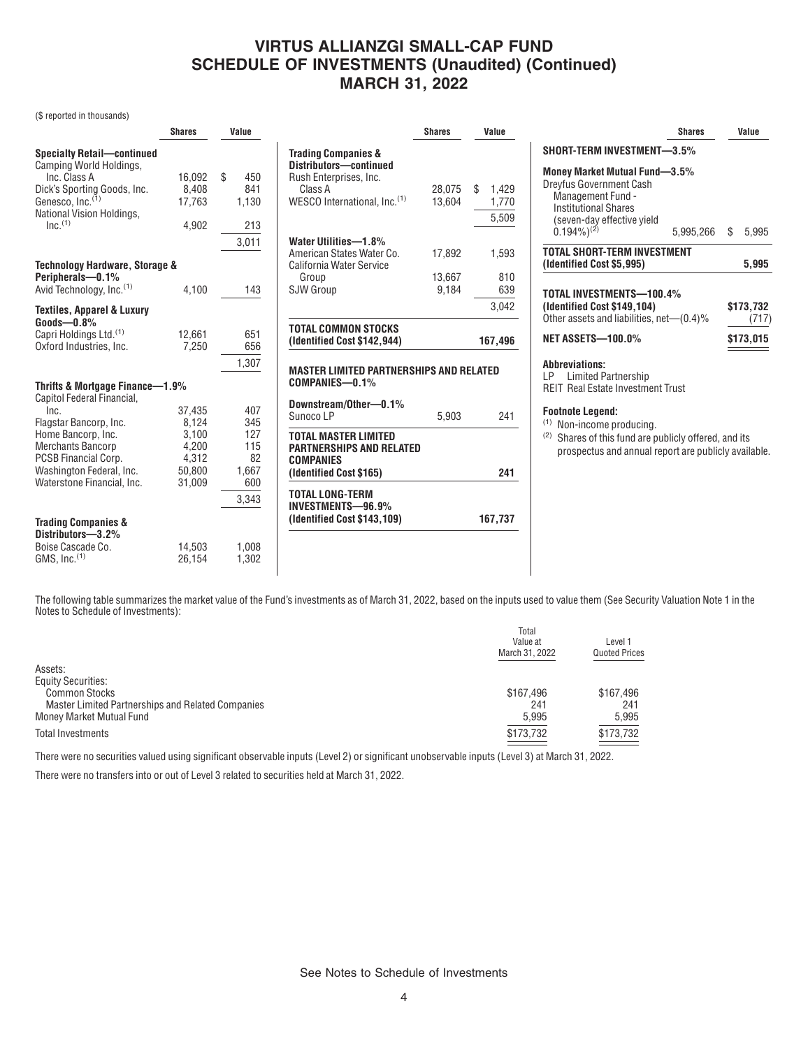### **VIRTUS ALLIANZGI SMALL-CAP FUND SCHEDULE OF INVESTMENTS (Unaudited) (Continued) MARCH 31, 2022**

(\$ reported in thousands)

| <b>Shares</b>                                      | Value                                              |                                                                                                                                                                   | <b>Shares</b>             | Value                                                                                       |
|----------------------------------------------------|----------------------------------------------------|-------------------------------------------------------------------------------------------------------------------------------------------------------------------|---------------------------|---------------------------------------------------------------------------------------------|
| 16,092<br>8.408<br>17.763<br>4,902                 | \$<br>450<br>841<br>1.130<br>213<br>3,011          | <b>Trading Companies &amp;</b><br>Distributors-continued<br>Rush Enterprises, Inc.<br>Class A<br>WESCO International. Inc. <sup>(1)</sup><br>Water Utilities-1.8% | 28.075<br>13.604          | \$<br>1.429<br>1,770<br>5,509                                                               |
| <b>Technology Hardware, Storage &amp;</b><br>4.100 | 143                                                | California Water Service<br>Group<br><b>SJW Group</b>                                                                                                             | 13,667<br>9.184           | 1,593<br>810<br>639                                                                         |
|                                                    |                                                    |                                                                                                                                                                   |                           | 3.042                                                                                       |
| 12,661<br>7.250                                    | 651<br>656<br>1,307                                | <b>TOTAL COMMON STOCKS</b><br>(Identified Cost \$142,944)                                                                                                         |                           | 167,496                                                                                     |
|                                                    |                                                    | COMPANIES-0.1%                                                                                                                                                    |                           |                                                                                             |
| 37,435                                             | 407                                                | Downstream/Other-0.1%<br>Sunoco LP                                                                                                                                | 5.903                     | 241                                                                                         |
| 3,100<br>4,200<br>4,312<br>50,800                  | 127<br>115<br>82<br>1,667                          | <b>TOTAL MASTER LIMITED</b><br><b>COMPANIES</b><br>(Identified Cost \$165)                                                                                        |                           | 241                                                                                         |
| 14,503<br>26,154                                   | 3,343<br>1,008<br>1,302                            | <b>TOTAL LONG-TERM</b><br>INVESTMENTS-96.9%<br>(Identified Cost \$143,109)                                                                                        |                           | 167,737                                                                                     |
|                                                    | Thrifts & Mortgage Finance-1.9%<br>8.124<br>31,009 | 345<br>600                                                                                                                                                        | American States Water Co. | 17,892<br><b>MASTER LIMITED PARTNERSHIPS AND RELATED</b><br><b>PARTNERSHIPS AND RELATED</b> |

|                                                                                                                                                                        | <b>Shares</b> | Value     |
|------------------------------------------------------------------------------------------------------------------------------------------------------------------------|---------------|-----------|
| <b>SHORT-TERM INVESTMENT-3.5%</b>                                                                                                                                      |               |           |
| Money Market Mutual Fund-3.5%<br><b>Dreyfus Government Cash</b><br>Management Fund -<br><b>Institutional Shares</b><br>(seven-day effective yield<br>$(0.194\%)^{(2)}$ | 5,995,266 \$  | 5,995     |
|                                                                                                                                                                        |               |           |
| TOTAL SHORT-TERM INVESTMENT<br>(Identified Cost \$5,995)                                                                                                               |               | 5,995     |
| TOTAL INVESTMENTS-100.4%                                                                                                                                               |               | \$173,732 |
| (Identified Cost \$149,104)<br>Other assets and liabilities, net—(0.4)%                                                                                                |               | (717)     |
| <b>NET ASSETS-100.0%</b>                                                                                                                                               |               | \$173,015 |
| <b>Abbreviations:</b><br>Limited Partnership<br>LP -<br><b>REIT Real Estate Investment Trust</b>                                                                       |               |           |

(2) Shares of this fund are publicly offered, and its prospectus and annual report are publicly available.

The following table summarizes the market value of the Fund's investments as of March 31, 2022, based on the inputs used to value them (See Security Valuation Note 1 in the Notes to Schedule of Investments):

|                                                   | Total<br>Value at<br>March 31, 2022 | Level 1<br><b>Quoted Prices</b> |
|---------------------------------------------------|-------------------------------------|---------------------------------|
| Assets:                                           |                                     |                                 |
| <b>Equity Securities:</b>                         |                                     |                                 |
| <b>Common Stocks</b>                              | \$167.496                           | \$167.496                       |
| Master Limited Partnerships and Related Companies | 241                                 | 241                             |
| Money Market Mutual Fund                          | 5.995                               | 5,995                           |
| Total Investments                                 | \$173,732                           | \$173,732                       |

There were no securities valued using significant observable inputs (Level 2) or significant unobservable inputs (Level 3) at March 31, 2022.

There were no transfers into or out of Level 3 related to securities held at March 31, 2022.